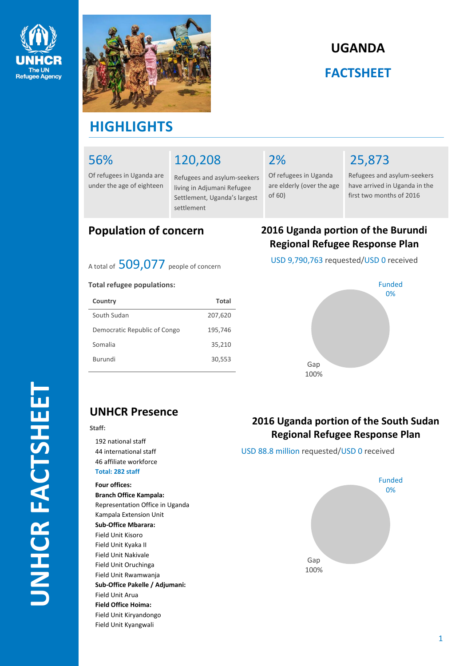



# **UGANDA FACTSHEET**

# **HIGHLIGHTS**

### 56%

Of refugees in Uganda are under the age of eighteen

|  |  | 120,208 |
|--|--|---------|
|  |  |         |
|  |  |         |

Refugees and asylum-seekers living in Adjumani Refugee Settlement, Uganda's largest settlement

### 2%

Of refugees in Uganda are elderly (over the age of 60)

# 25,873

Refugees and asylum-seekers have arrived in Uganda in the first two months of 2016

A total of 509,077 people of concern

### **Total refugee populations:**

| Country                      | Total   |
|------------------------------|---------|
| South Sudan                  | 207,620 |
| Democratic Republic of Congo | 195,746 |
| Somalia                      | 35,210  |
| Burundi                      | 30,553  |
|                              |         |

### **Population of concern 2016 Uganda portion of the Burundi Regional Refugee Response Plan**

USD 9,790,763 requested/USD 0 received



### **UNHCR Presence**

#### **Staff:**

 national staff international staff affiliate workforce **Total: 282 staff**

### **Four offices:**

**Branch Office Kampala:** Representation Office in Uganda Kampala Extension Unit **Sub-Office Mbarara:** Field Unit Kisoro Field Unit Kyaka II Field Unit Nakivale Field Unit Oruchinga Field Unit Rwamwanja **Sub-Office Pakelle / Adjumani:** Field Unit Arua **Field Office Hoima:** Field Unit Kiryandongo Field Unit Kyangwali

### **2016 Uganda portion of the South Sudan Regional Refugee Response Plan**

USD 88.8 million requested/USD 0 received

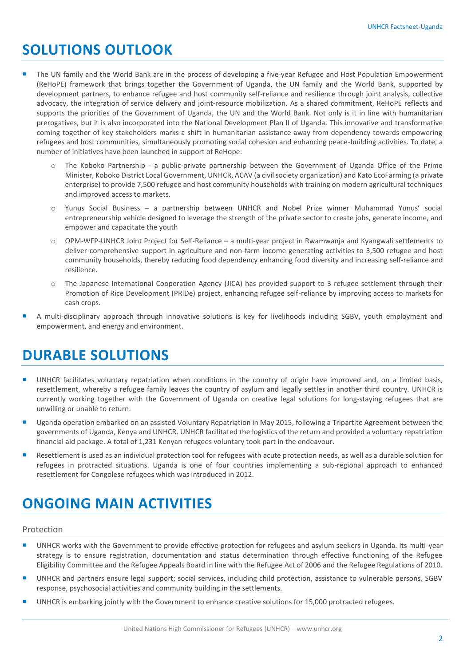# **SOLUTIONS OUTLOOK**

- The UN family and the World Bank are in the process of developing a five-year Refugee and Host Population Empowerment (ReHoPE) framework that brings together the Government of Uganda, the UN family and the World Bank, supported by development partners, to enhance refugee and host community self-reliance and resilience through joint analysis, collective advocacy, the integration of service delivery and joint-resource mobilization. As a shared commitment, ReHoPE reflects and supports the priorities of the Government of Uganda, the UN and the World Bank. Not only is it in line with humanitarian prerogatives, but it is also incorporated into the National Development Plan II of Uganda. This innovative and transformative coming together of key stakeholders marks a shift in humanitarian assistance away from dependency towards empowering refugees and host communities, simultaneously promoting social cohesion and enhancing peace-building activities. To date, a number of initiatives have been launched in support of ReHope:
	- o The Koboko Partnership a public-private partnership between the Government of Uganda Office of the Prime Minister, Koboko District Local Government, UNHCR, ACAV (a civil society organization) and Kato EcoFarming (a private enterprise) to provide 7,500 refugee and host community households with training on modern agricultural techniques and improved access to markets.
	- Yunus Social Business a partnership between UNHCR and Nobel Prize winner Muhammad Yunus' social entrepreneurship vehicle designed to leverage the strength of the private sector to create jobs, generate income, and empower and capacitate the youth
	- o OPM-WFP-UNHCR Joint Project for Self-Reliance a multi-year project in Rwamwanja and Kyangwali settlements to deliver comprehensive support in agriculture and non-farm income generating activities to 3,500 refugee and host community households, thereby reducing food dependency enhancing food diversity and increasing self-reliance and resilience.
	- o The Japanese International Cooperation Agency (JICA) has provided support to 3 refugee settlement through their Promotion of Rice Development (PRiDe) project, enhancing refugee self-reliance by improving access to markets for cash crops.
- A multi-disciplinary approach through innovative solutions is key for livelihoods including SGBV, youth employment and empowerment, and energy and environment.

### **DURABLE SOLUTIONS**

- UNHCR facilitates voluntary repatriation when conditions in the country of origin have improved and, on a limited basis, resettlement, whereby a refugee family leaves the country of asylum and legally settles in another third country. UNHCR is currently working together with the Government of Uganda on creative legal solutions for long-staying refugees that are unwilling or unable to return.
- Uganda operation embarked on an assisted Voluntary Repatriation in May 2015, following a Tripartite Agreement between the governments of Uganda, Kenya and UNHCR. UNHCR facilitated the logistics of the return and provided a voluntary repatriation financial aid package. A total of 1,231 Kenyan refugees voluntary took part in the endeavour.
- Resettlement is used as an individual protection tool for refugees with acute protection needs, as well as a durable solution for refugees in protracted situations. Uganda is one of four countries implementing a sub-regional approach to enhanced resettlement for Congolese refugees which was introduced in 2012.

# **ONGOING MAIN ACTIVITIES**

### Protection

- **UNHCR works with the Government to provide effective protection for refugees and asylum seekers in Uganda. Its multi-year** strategy is to ensure registration, documentation and status determination through effective functioning of the Refugee Eligibility Committee and the Refugee Appeals Board in line with the Refugee Act of 2006 and the Refugee Regulations of 2010.
- UNHCR and partners ensure legal support; social services, including child protection, assistance to vulnerable persons, SGBV response, psychosocial activities and community building in the settlements.
- UNHCR is embarking jointly with the Government to enhance creative solutions for 15,000 protracted refugees.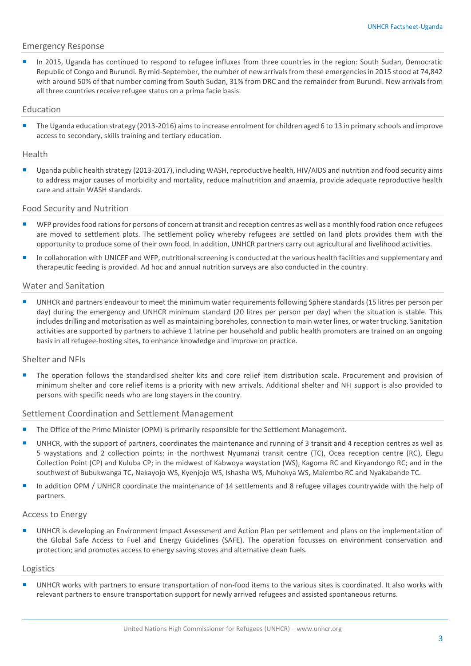### Emergency Response

 In 2015, Uganda has continued to respond to refugee influxes from three countries in the region: South Sudan, Democratic Republic of Congo and Burundi. By mid-September, the number of new arrivals from these emergencies in 2015 stood at 74,842 with around 50% of that number coming from South Sudan, 31% from DRC and the remainder from Burundi. New arrivals from all three countries receive refugee status on a prima facie basis.

### Education

The Uganda education strategy (2013-2016) aims to increase enrolment for children aged 6 to 13 in primary schools and improve access to secondary, skills training and tertiary education.

#### Health

 Uganda public health strategy (2013-2017), including WASH, reproductive health, HIV/AIDS and nutrition and food security aims to address major causes of morbidity and mortality, reduce malnutrition and anaemia, provide adequate reproductive health care and attain WASH standards.

### Food Security and Nutrition

- WFP provides food rations for persons of concern at transit and reception centres as well as a monthly food ration once refugees are moved to settlement plots. The settlement policy whereby refugees are settled on land plots provides them with the opportunity to produce some of their own food. In addition, UNHCR partners carry out agricultural and livelihood activities.
- In collaboration with UNICEF and WFP, nutritional screening is conducted at the various health facilities and supplementary and therapeutic feeding is provided. Ad hoc and annual nutrition surveys are also conducted in the country.

#### Water and Sanitation

 UNHCR and partners endeavour to meet the minimum water requirements following Sphere standards (15 litres per person per day) during the emergency and UNHCR minimum standard (20 litres per person per day) when the situation is stable. This includes drilling and motorisation as well as maintaining boreholes, connection to main water lines, or water trucking. Sanitation activities are supported by partners to achieve 1 latrine per household and public health promoters are trained on an ongoing basis in all refugee-hosting sites, to enhance knowledge and improve on practice.

#### Shelter and NFIs

 The operation follows the standardised shelter kits and core relief item distribution scale. Procurement and provision of minimum shelter and core relief items is a priority with new arrivals. Additional shelter and NFI support is also provided to persons with specific needs who are long stayers in the country.

### Settlement Coordination and Settlement Management

- The Office of the Prime Minister (OPM) is primarily responsible for the Settlement Management.
- UNHCR, with the support of partners, coordinates the maintenance and running of 3 transit and 4 reception centres as well as 5 waystations and 2 collection points: in the northwest Nyumanzi transit centre (TC), Ocea reception centre (RC), Elegu Collection Point (CP) and Kuluba CP; in the midwest of Kabwoya waystation (WS), Kagoma RC and Kiryandongo RC; and in the southwest of Bubukwanga TC, Nakayojo WS, Kyenjojo WS, Ishasha WS, Muhokya WS, Malembo RC and Nyakabande TC.
- In addition OPM / UNHCR coordinate the maintenance of 14 settlements and 8 refugee villages countrywide with the help of partners.

#### Access to Energy

 UNHCR is developing an Environment Impact Assessment and Action Plan per settlement and plans on the implementation of the Global Safe Access to Fuel and Energy Guidelines (SAFE). The operation focusses on environment conservation and protection; and promotes access to energy saving stoves and alternative clean fuels.

#### Logistics

 UNHCR works with partners to ensure transportation of non-food items to the various sites is coordinated. It also works with relevant partners to ensure transportation support for newly arrived refugees and assisted spontaneous returns.